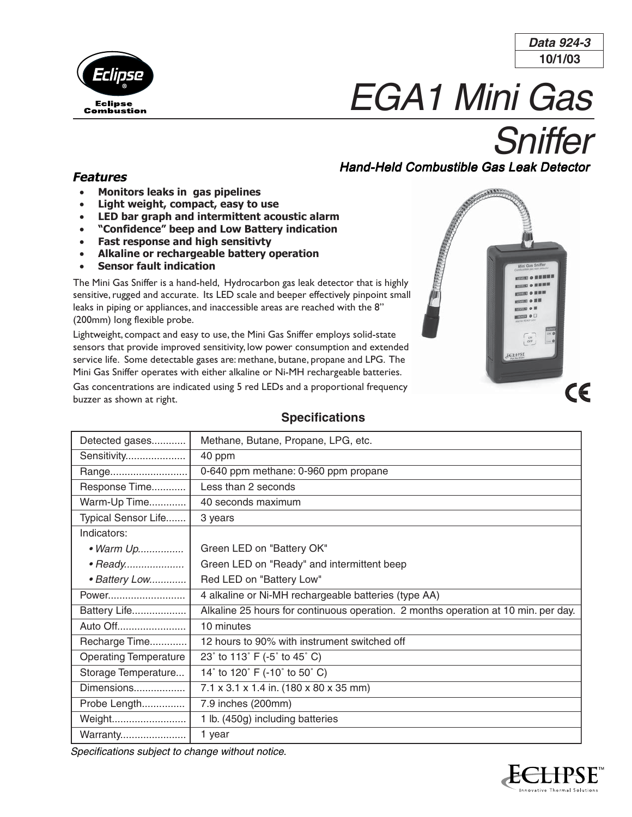

**10/1/03 Data 924-3**

# EGA1 Mini Gas

# **Sniffer**

# Hand-Held Combustible Gas Leak Detector

# **Features**

- **Monitors leaks in gas pipelines**
- **Light weight, compact, easy to use**
- **LED bar graph and intermittent acoustic alarm**
- **"Confidence" beep and Low Battery indication**
- **Fast response and high sensitivty**
- **Alkaline or rechargeable battery operation**
- **Sensor fault indication**

The Mini Gas Sniffer is a hand-held, Hydrocarbon gas leak detector that is highly sensitive, rugged and accurate. Its LED scale and beeper effectively pinpoint small leaks in piping or appliances, and inaccessible areas are reached with the 8" (200mm) long flexible probe.

Lightweight, compact and easy to use, the Mini Gas Sniffer employs solid-state sensors that provide improved sensitivity, low power consumption and extended service life. Some detectable gases are: methane, butane, propane and LPG. The Mini Gas Sniffer operates with either alkaline or Ni-MH rechargeable batteries.

Gas concentrations are indicated using 5 red LEDs and a proportional frequency buzzer as shown at right.

# **Specifications**

| Detected gases               | Methane, Butane, Propane, LPG, etc.                                                |
|------------------------------|------------------------------------------------------------------------------------|
| Sensitivity                  | 40 ppm                                                                             |
| Range                        | 0-640 ppm methane: 0-960 ppm propane                                               |
| Response Time                | Less than 2 seconds                                                                |
| Warm-Up Time                 | 40 seconds maximum                                                                 |
| Typical Sensor Life          | 3 years                                                                            |
| Indicators:                  |                                                                                    |
| • Warm Up                    | Green LED on "Battery OK"                                                          |
| • Ready                      | Green LED on "Ready" and intermittent beep                                         |
| • Battery Low                | Red LED on "Battery Low"                                                           |
| Power                        | 4 alkaline or Ni-MH rechargeable batteries (type AA)                               |
| Battery Life                 | Alkaline 25 hours for continuous operation. 2 months operation at 10 min. per day. |
| Auto Off                     | 10 minutes                                                                         |
| Recharge Time                | 12 hours to 90% with instrument switched off                                       |
| <b>Operating Temperature</b> | 23° to 113° F (-5° to 45° C)                                                       |
| Storage Temperature          | 14° to 120° F (-10° to 50° C)                                                      |
| Dimensions                   | 7.1 x 3.1 x 1.4 in. (180 x 80 x 35 mm)                                             |
| Probe Length                 | 7.9 inches (200mm)                                                                 |
| Weight                       | 1 lb. (450g) including batteries                                                   |
| Warranty                     | 1 year                                                                             |

*Specifications subject to change without notice.*